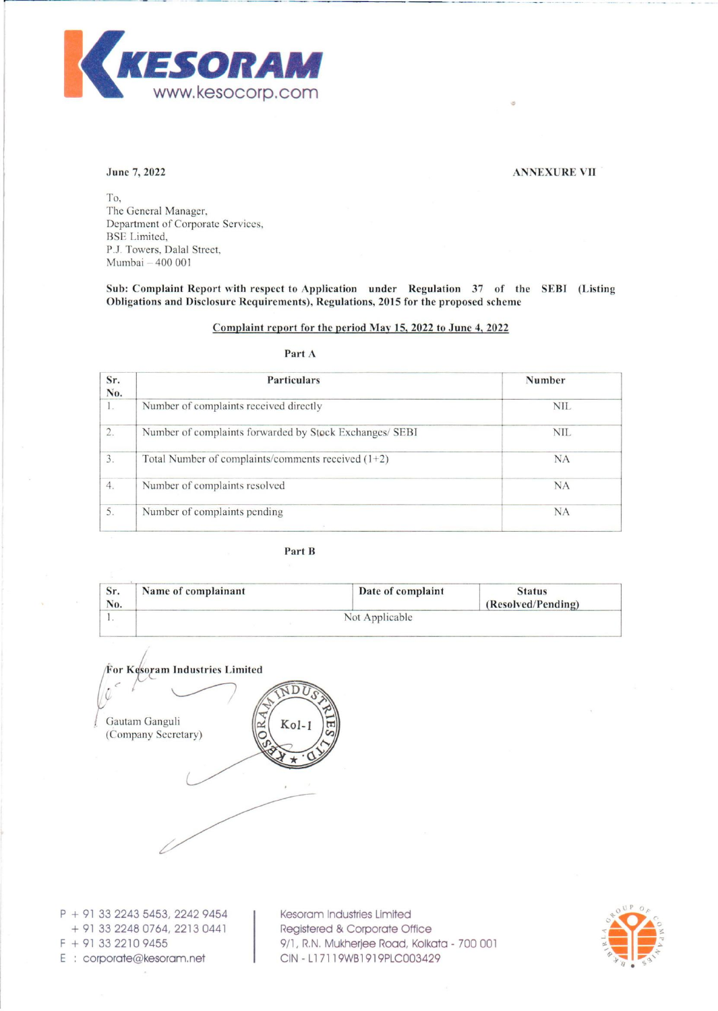

#### June 7, 2022 ANNEXURE VII

To, The General Manager, Department of Corporate Services, BSE Limited, P.J. Towers, Dalal Street, Mumbai - 400 001

Sub: Complaint Report with respect to Application under Regulation 37 of the SEBI (Listing Obligations and Disclosure Requirements), Regulations, 2015 for tbe proposed scheme

#### Complaint report for the period Mav 15, 2022 to June 4, 2022

## Part A

| <b>Particulars</b>                                      | <b>Number</b> |
|---------------------------------------------------------|---------------|
| Number of complaints received directly                  | <b>NIL</b>    |
| Number of complaints forwarded by Stock Exchanges/ SEBI | <b>NIL</b>    |
| Total Number of complaints/comments received $(1+2)$    | <b>NA</b>     |
| Number of complaints resolved                           | <b>NA</b>     |
| Number of complaints pending                            | NA            |
|                                                         |               |

### Part B

| Sr.<br>No. | Name of complainant | Date of complaint | <b>Status</b><br>(Resolved/Pending) |
|------------|---------------------|-------------------|-------------------------------------|
|            | Not Applicable      |                   |                                     |



<sup>P</sup>+ 91 33 2243 5453, 2242 9454 + 91 33 2248 0764, 22130441 <sup>F</sup>+ 913322109455 E : corporate@kesoram.net

Kesoram Industries Limited Registered & Corporate Office 9/1, R.N. Mukherjee Road, Kolkata - 700 001 CIN - L17119WB1919PLC003429

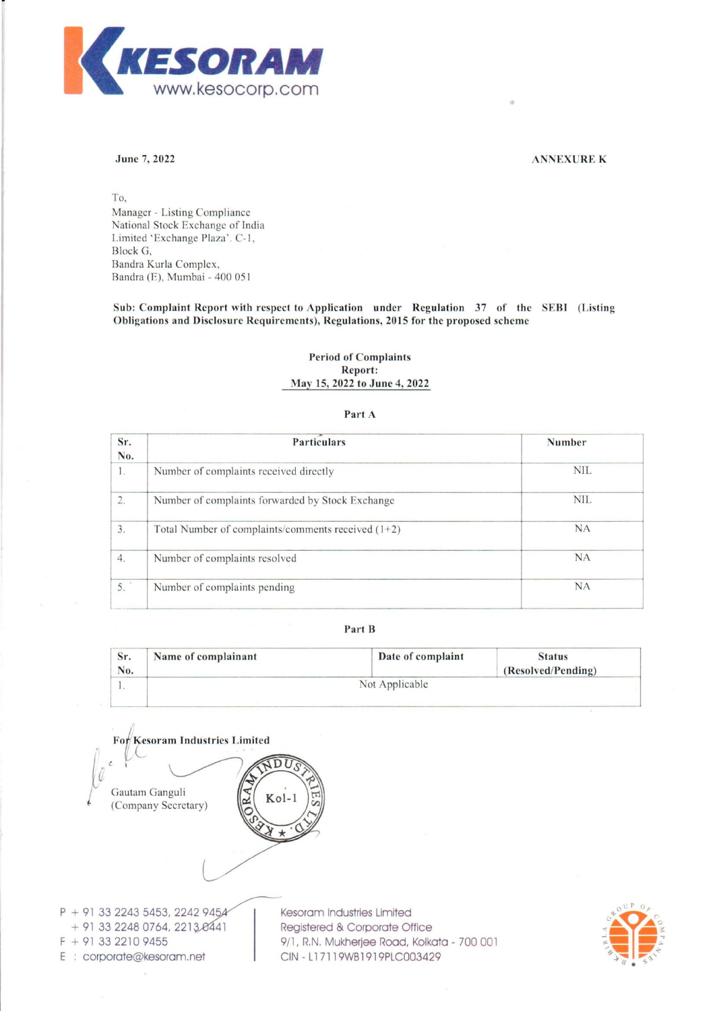

#### June 7, 2022 ANNEXURE K

To, Manager - Listing Compliance National Stock Exchange of India Limited 'Exchange Plaza'. C-I, Block G, Bandra Kurla Complex, 13andra (E), Mumbai - 400 051

Sub: Complaint Report with respect to Application under Regulation 37 of the SEBJ (Listing Obligations and Disclosure Requirements), Regulations, 2015 for the proposed scheme

#### Period of Complaints Report: May 15, 2022 to June 4, 2022

#### Part A

| <b>Particulars</b>                                   | Number     |
|------------------------------------------------------|------------|
| Number of complaints received directly               | <b>NIL</b> |
| Number of complaints forwarded by Stock Exchange     | <b>NIL</b> |
| Total Number of complaints/comments received $(1+2)$ | <b>NA</b>  |
| Number of complaints resolved                        | <b>NA</b>  |
| Number of complaints pending                         | <b>NA</b>  |
|                                                      |            |

### Part B

| Sr.<br>No. | Name of complainant | Date of complaint | <b>Status</b><br>(Resolved/Pending) |  |
|------------|---------------------|-------------------|-------------------------------------|--|
| $\cdot$    |                     | Not Applicable    |                                     |  |

For Kesoram Industries Limited **SDUS** Gautam Ganguli Kol-(Company Secretary) P + 91 33 2243 5453, 2242 9454<br>+ 91 33 2248 0764, 2213 0441<br>Registered & Corporate O

 $+ 91 33 2248 0764, 2213. 0441$  Registered & Corporate Office

F + 91 33 2210 9455 9/1, R.N. Mukherjee Road, Kolkata - 700 001 E : corporate@kesoram.net | CIN - L17119WB1919PLC003429